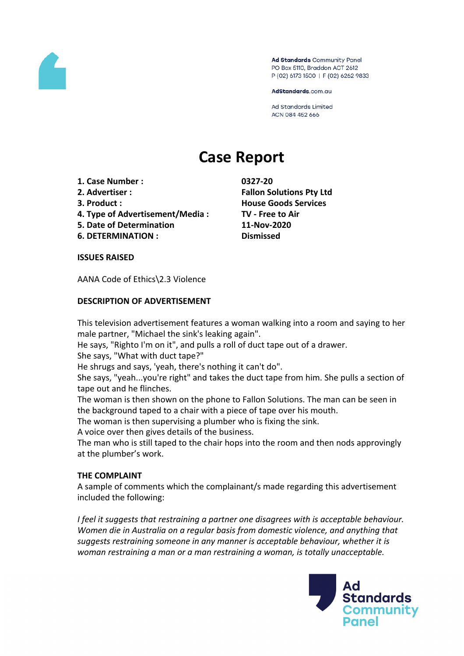

Ad Standards Community Panel PO Box 5110, Braddon ACT 2612 P (02) 6173 1500 | F (02) 6262 9833

AdStandards.com.au

**Ad Standards Limited** ACN 084 452 666

# **Case Report**

- **1. Case Number : 0327-20**
- 
- 
- **4. Type of Advertisement/Media : TV - Free to Air**
- **5. Date of Determination 11-Nov-2020**
- **6. DETERMINATION : Dismissed**

**2. Advertiser : Fallon Solutions Pty Ltd 3. Product : House Goods Services**

#### **ISSUES RAISED**

AANA Code of Ethics\2.3 Violence

## **DESCRIPTION OF ADVERTISEMENT**

This television advertisement features a woman walking into a room and saying to her male partner, "Michael the sink's leaking again".

He says, "Righto I'm on it", and pulls a roll of duct tape out of a drawer.

She says, "What with duct tape?"

He shrugs and says, 'yeah, there's nothing it can't do".

She says, "yeah...you're right" and takes the duct tape from him. She pulls a section of tape out and he flinches.

The woman is then shown on the phone to Fallon Solutions. The man can be seen in the background taped to a chair with a piece of tape over his mouth.

The woman is then supervising a plumber who is fixing the sink.

A voice over then gives details of the business.

The man who is still taped to the chair hops into the room and then nods approvingly at the plumber's work.

## **THE COMPLAINT**

A sample of comments which the complainant/s made regarding this advertisement included the following:

*I feel it suggests that restraining a partner one disagrees with is acceptable behaviour. Women die in Australia on a regular basis from domestic violence, and anything that suggests restraining someone in any manner is acceptable behaviour, whether it is woman restraining a man or a man restraining a woman, is totally unacceptable.*

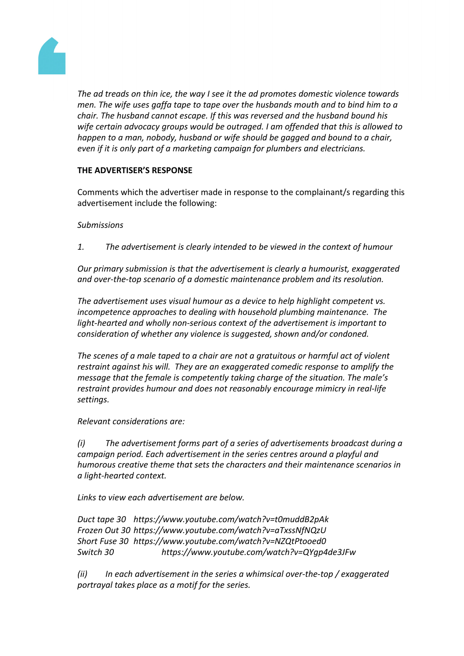

*The ad treads on thin ice, the way I see it the ad promotes domestic violence towards men. The wife uses gaffa tape to tape over the husbands mouth and to bind him to a chair. The husband cannot escape. If this was reversed and the husband bound his wife certain advocacy groups would be outraged. I am offended that this is allowed to happen to a man, nobody, husband or wife should be gagged and bound to a chair, even if it is only part of a marketing campaign for plumbers and electricians.*

# **THE ADVERTISER'S RESPONSE**

Comments which the advertiser made in response to the complainant/s regarding this advertisement include the following:

## *Submissions*

*1. The advertisement is clearly intended to be viewed in the context of humour*

*Our primary submission is that the advertisement is clearly a humourist, exaggerated and over-the-top scenario of a domestic maintenance problem and its resolution.*

*The advertisement uses visual humour as a device to help highlight competent vs. incompetence approaches to dealing with household plumbing maintenance. The light-hearted and wholly non-serious context of the advertisement is important to consideration of whether any violence is suggested, shown and/or condoned.* 

*The scenes of a male taped to a chair are not a gratuitous or harmful act of violent restraint against his will. They are an exaggerated comedic response to amplify the message that the female is competently taking charge of the situation. The male's restraint provides humour and does not reasonably encourage mimicry in real-life settings.*

*Relevant considerations are:*

*(i) The advertisement forms part of a series of advertisements broadcast during a campaign period. Each advertisement in the series centres around a playful and humorous creative theme that sets the characters and their maintenance scenarios in a light-hearted context.* 

*Links to view each advertisement are below.*

*Duct tape 30 https://www.youtube.com/watch?v=t0muddB2pAk Frozen Out 30 https://www.youtube.com/watch?v=aTxssNfNQzU Short Fuse 30 https://www.youtube.com/watch?v=NZQtPtooed0 Switch 30 https://www.youtube.com/watch?v=QYgp4de3JFw*

*(ii) In each advertisement in the series a whimsical over-the-top / exaggerated portrayal takes place as a motif for the series.*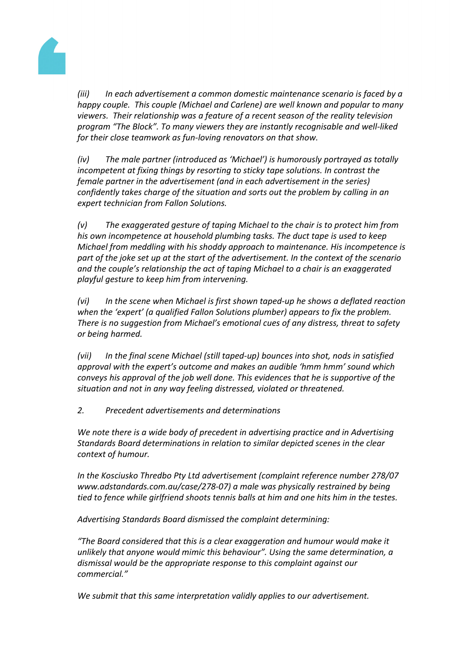

*(iii) In each advertisement a common domestic maintenance scenario is faced by a happy couple. This couple (Michael and Carlene) are well known and popular to many viewers. Their relationship was a feature of a recent season of the reality television program "The Block". To many viewers they are instantly recognisable and well-liked for their close teamwork as fun-loving renovators on that show.*

*(iv) The male partner (introduced as 'Michael') is humorously portrayed as totally incompetent at fixing things by resorting to sticky tape solutions. In contrast the female partner in the advertisement (and in each advertisement in the series) confidently takes charge of the situation and sorts out the problem by calling in an expert technician from Fallon Solutions.*

*(v) The exaggerated gesture of taping Michael to the chair is to protect him from his own incompetence at household plumbing tasks. The duct tape is used to keep Michael from meddling with his shoddy approach to maintenance. His incompetence is part of the joke set up at the start of the advertisement. In the context of the scenario and the couple's relationship the act of taping Michael to a chair is an exaggerated playful gesture to keep him from intervening.* 

*(vi) In the scene when Michael is first shown taped-up he shows a deflated reaction when the 'expert' (a qualified Fallon Solutions plumber) appears to fix the problem. There is no suggestion from Michael's emotional cues of any distress, threat to safety or being harmed.* 

*(vii) In the final scene Michael (still taped-up) bounces into shot, nods in satisfied approval with the expert's outcome and makes an audible 'hmm hmm' sound which conveys his approval of the job well done. This evidences that he is supportive of the situation and not in any way feeling distressed, violated or threatened.*

*2. Precedent advertisements and determinations*

*We note there is a wide body of precedent in advertising practice and in Advertising Standards Board determinations in relation to similar depicted scenes in the clear context of humour.* 

*In the Kosciusko Thredbo Pty Ltd advertisement (complaint reference number 278/07 www.adstandards.com.au/case/278-07) a male was physically restrained by being tied to fence while girlfriend shoots tennis balls at him and one hits him in the testes.*

*Advertising Standards Board dismissed the complaint determining:*

*"The Board considered that this is a clear exaggeration and humour would make it unlikely that anyone would mimic this behaviour". Using the same determination, a dismissal would be the appropriate response to this complaint against our commercial."*

*We submit that this same interpretation validly applies to our advertisement.*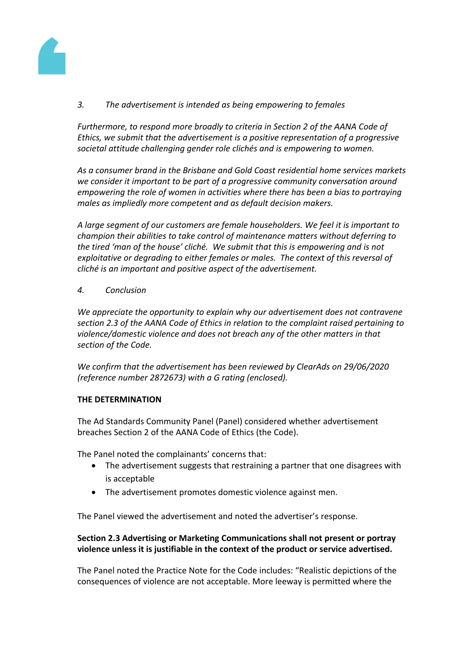

*3. The advertisement is intended as being empowering to females*

*Furthermore, to respond more broadly to criteria in Section 2 of the AANA Code of Ethics, we submit that the advertisement is a positive representation of a progressive societal attitude challenging gender role clichés and is empowering to women.* 

*As a consumer brand in the Brisbane and Gold Coast residential home services markets we consider it important to be part of a progressive community conversation around empowering the role of women in activities where there has been a bias to portraying males as impliedly more competent and as default decision makers.*

*A large segment of our customers are female householders. We feel it is important to champion their abilities to take control of maintenance matters without deferring to the tired 'man of the house' cliché. We submit that this is empowering and is not exploitative or degrading to either females or males. The context of this reversal of cliché is an important and positive aspect of the advertisement.*

## *4. Conclusion*

*We appreciate the opportunity to explain why our advertisement does not contravene section 2.3 of the AANA Code of Ethics in relation to the complaint raised pertaining to violence/domestic violence and does not breach any of the other matters in that section of the Code.*

*We confirm that the advertisement has been reviewed by ClearAds on 29/06/2020 (reference number 2872673) with a G rating (enclosed).*

## **THE DETERMINATION**

The Ad Standards Community Panel (Panel) considered whether advertisement breaches Section 2 of the AANA Code of Ethics (the Code).

The Panel noted the complainants' concerns that:

- The advertisement suggests that restraining a partner that one disagrees with is acceptable
- The advertisement promotes domestic violence against men.

The Panel viewed the advertisement and noted the advertiser's response.

## **Section 2.3 Advertising or Marketing Communications shall not present or portray violence unless it is justifiable in the context of the product or service advertised.**

The Panel noted the Practice Note for the Code includes: "Realistic depictions of the consequences of violence are not acceptable. More leeway is permitted where the